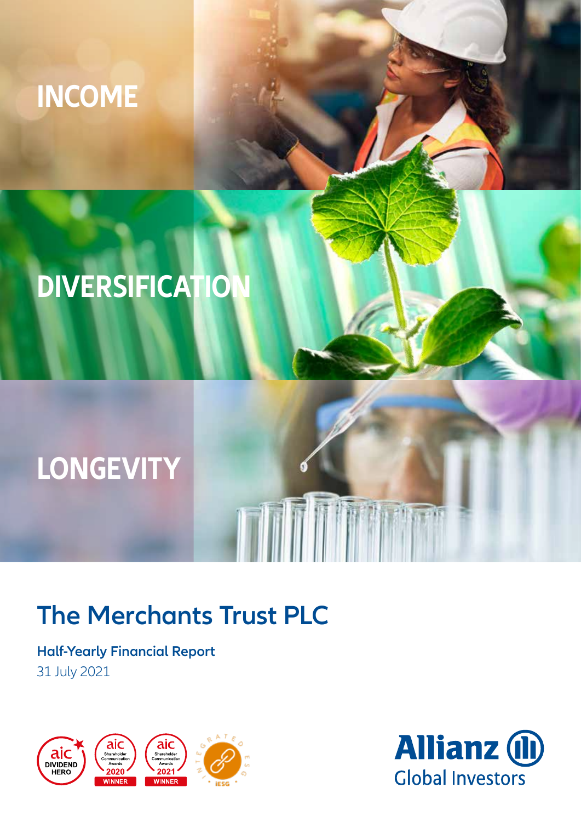# **INCOME**

# **DIVERSIFICATION**

# **LONGEVITY**

## **The Merchants Trust PLC**

### **Half-Yearly Financial Report** 31 July 2021



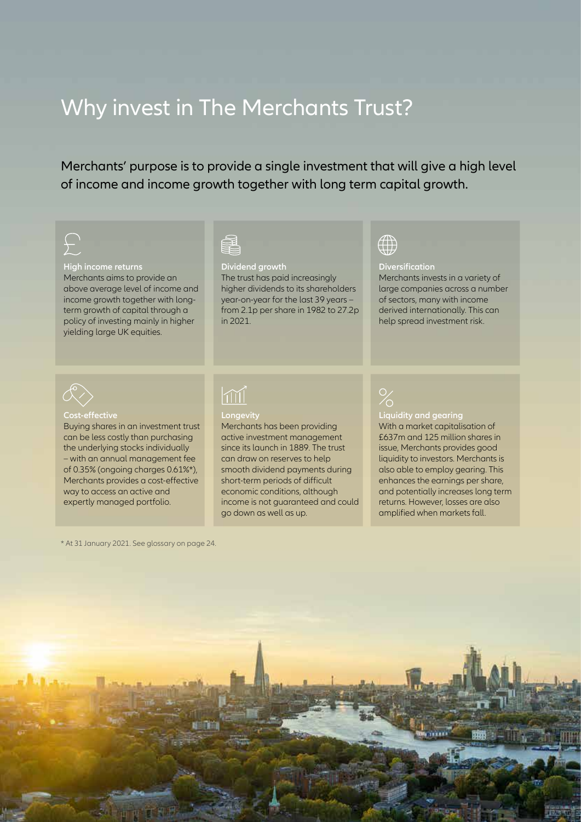### Why invest in The Merchants Trust?

Merchants' purpose is to provide a single investment that will give a high level of income and income growth together with long term capital growth.

#### **High income returns**

Merchants aims to provide an above average level of income and income growth together with longterm growth of capital through a policy of investing mainly in higher yielding large UK equities.

**Dividend growth** 

The trust has paid increasingly higher dividends to its shareholders year-on-year for the last 39 years – from 2.1p per share in 1982 to 27.2p in 2021.

### $\oplus$

#### **Diversification**

Merchants invests in a variety of large companies across a number of sectors, many with income derived internationally. This can help spread investment risk.



#### **Cost-effective**

Buying shares in an investment trust can be less costly than purchasing the underlying stocks individually – with an annual management fee of 0.35% (ongoing charges 0.61%\*), Merchants provides a cost-effective way to access an active and expertly managed portfolio.

### $\boxed{\text{m}}$



Merchants has been providing active investment management since its launch in 1889. The trust can draw on reserves to help smooth dividend payments during short-term periods of difficult economic conditions, although income is not guaranteed and could go down as well as up.

#### **Liquidity and gearing** With a market capitalisation of

£637m and 125 million shares in issue, Merchants provides good liquidity to investors. Merchants is also able to employ gearing. This enhances the earnings per share, and potentially increases long term returns. However, losses are also amplified when markets fall.

\* At 31 January 2021. See glossary on page 24.

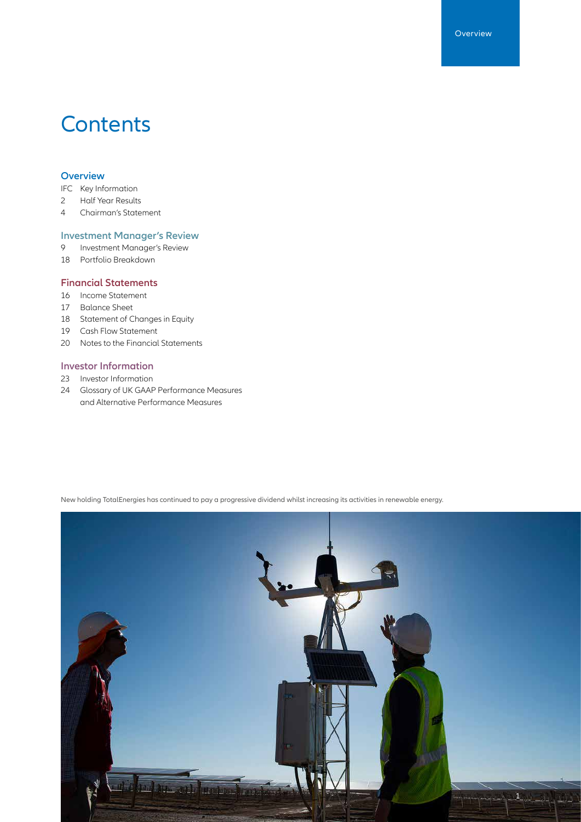### **Contents**

#### **Overview**

IFC Key Information

- 2 Half Year Results
- 4 Chairman's Statement

#### **Investment Manager's Review**

- 9 Investment Manager's Review
- 18 Portfolio Breakdown

#### **Financial Statements**

- 16 Income Statement
- 17 Balance Sheet
- 18 Statement of Changes in Equity
- 19 Cash Flow Statement
- 20 Notes to the Financial Statements

#### **Investor Information**

- 23 Investor Information
- 24 Glossary of UK GAAP Performance Measures and Alternative Performance Measures

New holding TotalEnergies has continued to pay a progressive dividend whilst increasing its activities in renewable energy.

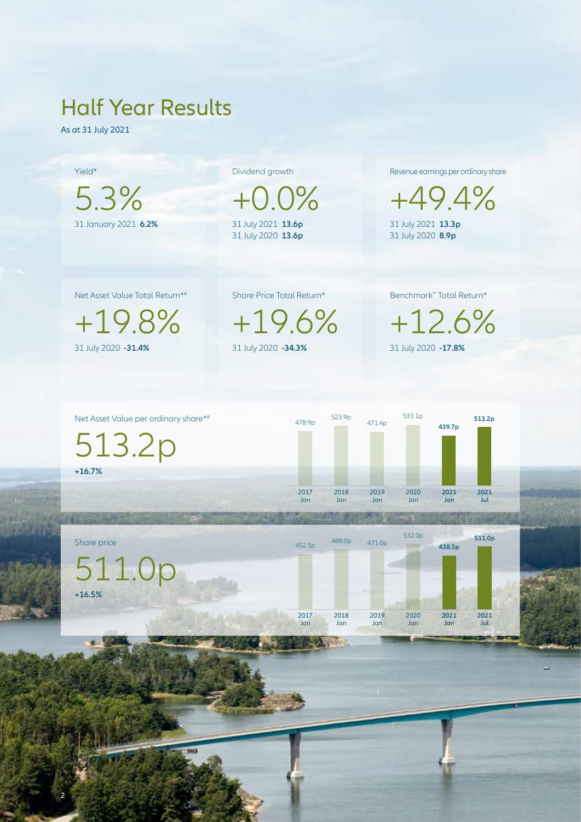### Half Year Results

As at 31 July 2021

Yield\* 5.3% 31 January 2021 **6.2%**

Dividend growth

 $+0.0\%$ 31 July 2021 **13.6p** 31 July 2020 **13.6p**

Revenue earnings per ordinary share

+49.4% 31 July 2021 **13.3p** 31 July 2020 **8.9p**

Net Asset Value Total Return\*#

+19.8% 31 July 2020 **-31.4%**

2

Share Price Total Return\*

+19.6% 31 July 2020 **-34.3%**

Benchmark˜ Total Return\*

+12.6% 31 July 2020 **-17.8%**



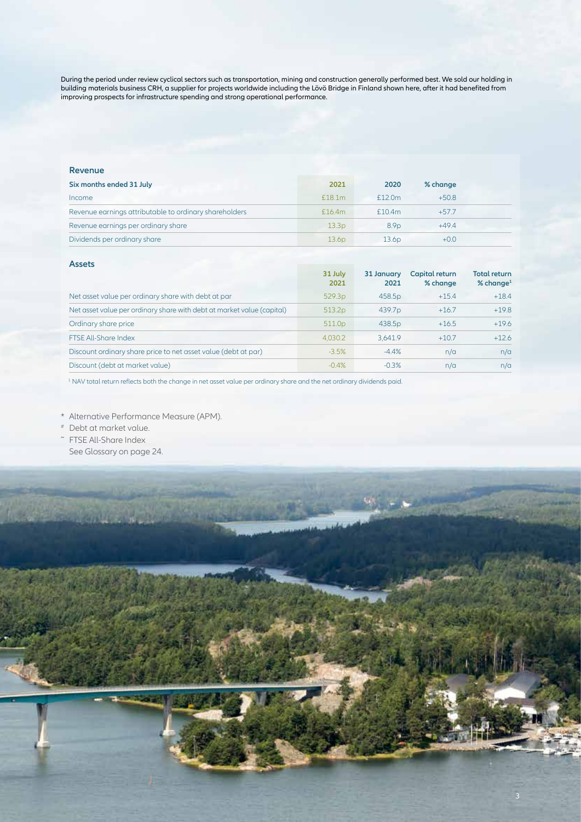During the period under review cyclical sectors such as transportation, mining and construction generally performed best. We sold our holding in building materials business CRH, a supplier for projects worldwide including the Lövö Bridge in Finland shown here, after it had benefited from improving prospects for infrastructure spending and strong operational performance.

#### **Revenue**

| 2021               | 2020              | % change |  |
|--------------------|-------------------|----------|--|
| £18.1 <sub>m</sub> | £12.0m            | $+50.8$  |  |
| £16.4m             | £10.4m            | $+57.7$  |  |
| 13.3 <sub>D</sub>  | 8.9 <sub>D</sub>  | $+49.4$  |  |
| 13.6 <sub>D</sub>  | 13.6 <sub>D</sub> | $+0.0$   |  |
|                    |                   |          |  |

#### **Assets**

|                                                                        | 31 July<br>2021    | 31 January<br>2021 | Capital return<br>% change | <b>Total return</b><br>$%$ change <sup>1</sup> |
|------------------------------------------------------------------------|--------------------|--------------------|----------------------------|------------------------------------------------|
| Net asset value per ordinary share with debt at par                    | 529.3p             | 458.5p             | $+15.4$                    | $+18.4$                                        |
| Net asset value per ordinary share with debt at market value (capital) | 513.2 <sub>p</sub> | 439.7 <sub>p</sub> | $+16.7$                    | $+19.8$                                        |
| Ordinary share price                                                   | 511.0 <sub>p</sub> | 438.5p             | $+16.5$                    | $+19.6$                                        |
| <b>FTSE All-Share Index</b>                                            | 4,030.2            | 3.641.9            | $+10.7$                    | $+12.6$                                        |
| Discount ordinary share price to net asset value (debt at par)         | $-3.5%$            | $-4.4%$            | n/a                        | n/a                                            |
| Discount (debt at market value)                                        | $-0.4%$            | $-0.3%$            | n/a                        | n/a                                            |

1 NAV total return reflects both the change in net asset value per ordinary share and the net ordinary dividends paid.

\* Alternative Performance Measure (APM).

# Debt at market value.

˜ FTSE All-Share Index See Glossary on page 24.

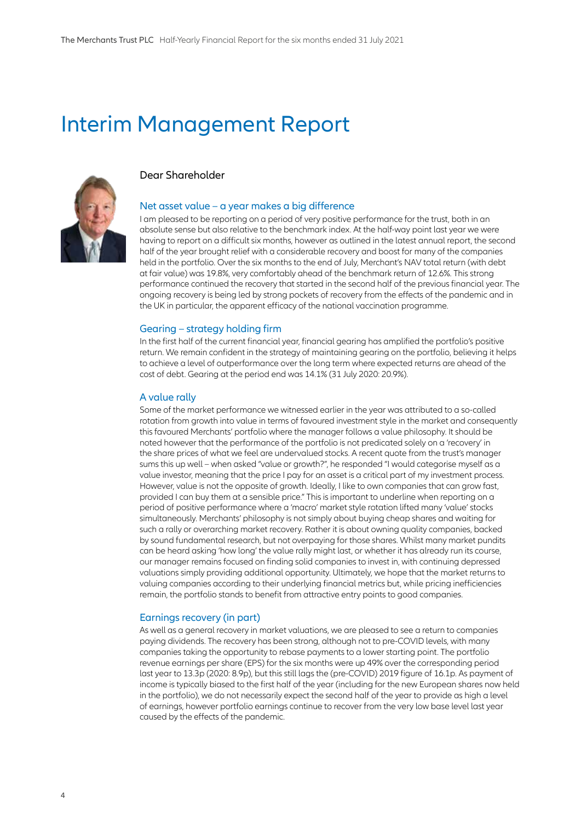### Interim Management Report



#### Dear Shareholder

#### Net asset value – a year makes a big difference

I am pleased to be reporting on a period of very positive performance for the trust, both in an absolute sense but also relative to the benchmark index. At the half-way point last year we were having to report on a difficult six months, however as outlined in the latest annual report, the second half of the year brought relief with a considerable recovery and boost for many of the companies held in the portfolio. Over the six months to the end of July, Merchant's NAV total return (with debt at fair value) was 19.8%, very comfortably ahead of the benchmark return of 12.6%. This strong performance continued the recovery that started in the second half of the previous financial year. The ongoing recovery is being led by strong pockets of recovery from the effects of the pandemic and in the UK in particular, the apparent efficacy of the national vaccination programme.

#### Gearing – strategy holding firm

In the first half of the current financial year, financial gearing has amplified the portfolio's positive return. We remain confident in the strategy of maintaining gearing on the portfolio, believing it helps to achieve a level of outperformance over the long term where expected returns are ahead of the cost of debt. Gearing at the period end was 14.1% (31 July 2020: 20.9%).

#### A value rally

Some of the market performance we witnessed earlier in the year was attributed to a so-called rotation from growth into value in terms of favoured investment style in the market and consequently this favoured Merchants' portfolio where the manager follows a value philosophy. It should be noted however that the performance of the portfolio is not predicated solely on a 'recovery' in the share prices of what we feel are undervalued stocks. A recent quote from the trust's manager sums this up well – when asked "value or growth?", he responded "I would categorise myself as a value investor, meaning that the price I pay for an asset is a critical part of my investment process. However, value is not the opposite of growth. Ideally, I like to own companies that can grow fast, provided I can buy them at a sensible price." This is important to underline when reporting on a period of positive performance where a 'macro' market style rotation lifted many 'value' stocks simultaneously. Merchants' philosophy is not simply about buying cheap shares and waiting for such a rally or overarching market recovery. Rather it is about owning quality companies, backed by sound fundamental research, but not overpaying for those shares. Whilst many market pundits can be heard asking 'how long' the value rally might last, or whether it has already run its course, our manager remains focused on finding solid companies to invest in, with continuing depressed valuations simply providing additional opportunity. Ultimately, we hope that the market returns to valuing companies according to their underlying financial metrics but, while pricing inefficiencies remain, the portfolio stands to benefit from attractive entry points to good companies.

#### Earnings recovery (in part)

As well as a general recovery in market valuations, we are pleased to see a return to companies paying dividends. The recovery has been strong, although not to pre-COVID levels, with many companies taking the opportunity to rebase payments to a lower starting point. The portfolio revenue earnings per share (EPS) for the six months were up 49% over the corresponding period last year to 13.3p (2020: 8.9p), but this still lags the (pre-COVID) 2019 figure of 16.1p. As payment of income is typically biased to the first half of the year (including for the new European shares now held in the portfolio), we do not necessarily expect the second half of the year to provide as high a level of earnings, however portfolio earnings continue to recover from the very low base level last year caused by the effects of the pandemic.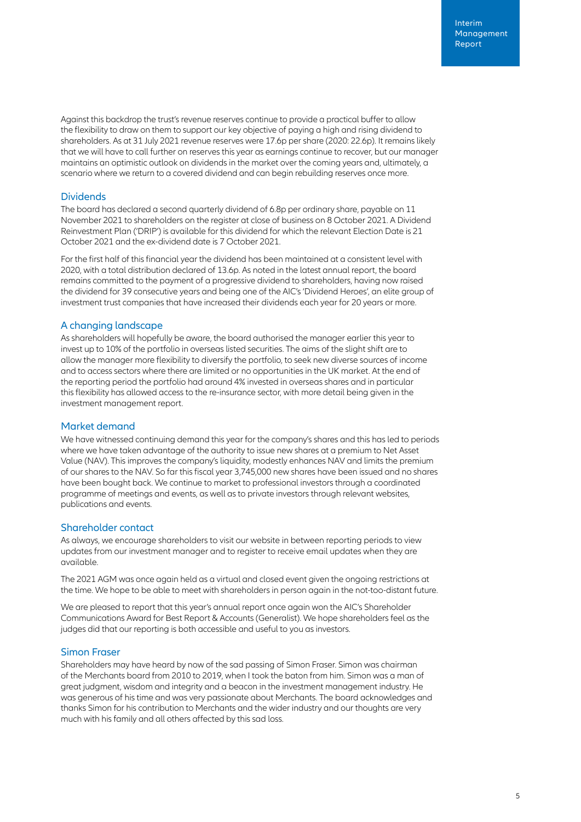Against this backdrop the trust's revenue reserves continue to provide a practical buffer to allow the flexibility to draw on them to support our key objective of paying a high and rising dividend to shareholders. As at 31 July 2021 revenue reserves were 17.6p per share (2020: 22.6p). It remains likely that we will have to call further on reserves this year as earnings continue to recover, but our manager maintains an optimistic outlook on dividends in the market over the coming years and, ultimately, a scenario where we return to a covered dividend and can begin rebuilding reserves once more.

#### **Dividends**

The board has declared a second quarterly dividend of 6.8p per ordinary share, payable on 11 November 2021 to shareholders on the register at close of business on 8 October 2021. A Dividend Reinvestment Plan ('DRIP') is available for this dividend for which the relevant Election Date is 21 October 2021 and the ex-dividend date is 7 October 2021.

For the first half of this financial year the dividend has been maintained at a consistent level with 2020, with a total distribution declared of 13.6p. As noted in the latest annual report, the board remains committed to the payment of a progressive dividend to shareholders, having now raised the dividend for 39 consecutive years and being one of the AIC's 'Dividend Heroes', an elite group of investment trust companies that have increased their dividends each year for 20 years or more.

#### A changing landscape

As shareholders will hopefully be aware, the board authorised the manager earlier this year to invest up to 10% of the portfolio in overseas listed securities. The aims of the slight shift are to allow the manager more flexibility to diversify the portfolio, to seek new diverse sources of income and to access sectors where there are limited or no opportunities in the UK market. At the end of the reporting period the portfolio had around 4% invested in overseas shares and in particular this flexibility has allowed access to the re-insurance sector, with more detail being given in the investment management report.

#### Market demand

We have witnessed continuing demand this year for the company's shares and this has led to periods where we have taken advantage of the authority to issue new shares at a premium to Net Asset Value (NAV). This improves the company's liquidity, modestly enhances NAV and limits the premium of our shares to the NAV. So far this fiscal year 3,745,000 new shares have been issued and no shares have been bought back. We continue to market to professional investors through a coordinated programme of meetings and events, as well as to private investors through relevant websites, publications and events.

#### Shareholder contact

As always, we encourage shareholders to visit our website in between reporting periods to view updates from our investment manager and to register to receive email updates when they are available.

The 2021 AGM was once again held as a virtual and closed event given the ongoing restrictions at the time. We hope to be able to meet with shareholders in person again in the not-too-distant future.

We are pleased to report that this year's annual report once again won the AIC's Shareholder Communications Award for Best Report & Accounts (Generalist). We hope shareholders feel as the judges did that our reporting is both accessible and useful to you as investors.

#### Simon Fraser

Shareholders may have heard by now of the sad passing of Simon Fraser. Simon was chairman of the Merchants board from 2010 to 2019, when I took the baton from him. Simon was a man of great judgment, wisdom and integrity and a beacon in the investment management industry. He was generous of his time and was very passionate about Merchants. The board acknowledges and thanks Simon for his contribution to Merchants and the wider industry and our thoughts are very much with his family and all others affected by this sad loss.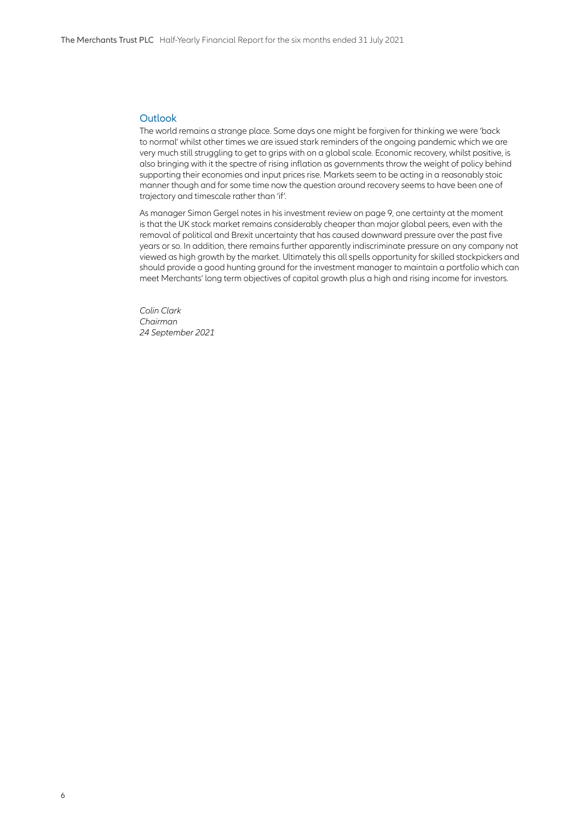#### **Outlook**

The world remains a strange place. Some days one might be forgiven for thinking we were 'back to normal' whilst other times we are issued stark reminders of the ongoing pandemic which we are very much still struggling to get to grips with on a global scale. Economic recovery, whilst positive, is also bringing with it the spectre of rising inflation as governments throw the weight of policy behind supporting their economies and input prices rise. Markets seem to be acting in a reasonably stoic manner though and for some time now the question around recovery seems to have been one of trajectory and timescale rather than 'if'.

As manager Simon Gergel notes in his investment review on page 9, one certainty at the moment is that the UK stock market remains considerably cheaper than major global peers, even with the removal of political and Brexit uncertainty that has caused downward pressure over the past five years or so. In addition, there remains further apparently indiscriminate pressure on any company not viewed as high growth by the market. Ultimately this all spells opportunity for skilled stockpickers and should provide a good hunting ground for the investment manager to maintain a portfolio which can meet Merchants' long term objectives of capital growth plus a high and rising income for investors.

*Colin Clark Chairman 24 September 2021*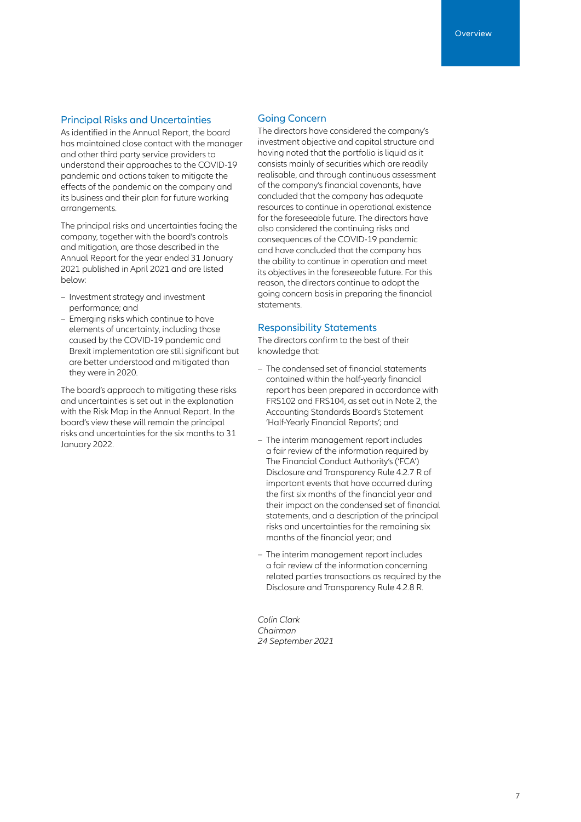#### Principal Risks and Uncertainties

As identified in the Annual Report, the board has maintained close contact with the manager and other third party service providers to understand their approaches to the COVID-19 pandemic and actions taken to mitigate the effects of the pandemic on the company and its business and their plan for future working arrangements.

The principal risks and uncertainties facing the company, together with the board's controls and mitigation, are those described in the Annual Report for the year ended 31 January 2021 published in April 2021 and are listed below:

- Investment strategy and investment performance; and
- Emerging risks which continue to have elements of uncertainty, including those caused by the COVID-19 pandemic and Brexit implementation are still significant but are better understood and mitigated than they were in 2020.

The board's approach to mitigating these risks and uncertainties is set out in the explanation with the Risk Map in the Annual Report. In the board's view these will remain the principal risks and uncertainties for the six months to 31 January 2022.

#### Going Concern

The directors have considered the company's investment objective and capital structure and having noted that the portfolio is liquid as it consists mainly of securities which are readily realisable, and through continuous assessment of the company's financial covenants, have concluded that the company has adequate resources to continue in operational existence for the foreseeable future. The directors have also considered the continuing risks and consequences of the COVID-19 pandemic and have concluded that the company has the ability to continue in operation and meet its objectives in the foreseeable future. For this reason, the directors continue to adopt the going concern basis in preparing the financial statements.

#### Responsibility Statements

The directors confirm to the best of their knowledge that:

- The condensed set of financial statements contained within the half-yearly financial report has been prepared in accordance with FRS102 and FRS104, as set out in Note 2, the Accounting Standards Board's Statement 'Half-Yearly Financial Reports'; and
- The interim management report includes a fair review of the information required by The Financial Conduct Authority's ('FCA') Disclosure and Transparency Rule 4.2.7 R of important events that have occurred during the first six months of the financial year and their impact on the condensed set of financial statements, and a description of the principal risks and uncertainties for the remaining six months of the financial year; and
- The interim management report includes a fair review of the information concerning related parties transactions as required by the Disclosure and Transparency Rule 4.2.8 R.

*Colin Clark Chairman 24 September 2021*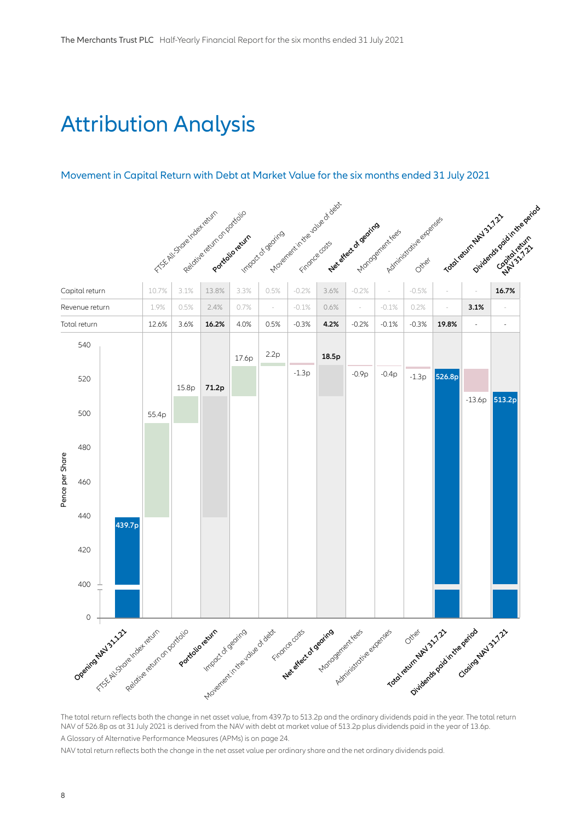## Attribution Analysis

### Movement in Capital Return with Debt at Market Value for the six months ended 31 July 2021



The total return reflects both the change in net asset value, from 439.7p to 513.2p and the ordinary dividends paid in the year. The total return NAV of 526.8p as at 31 July 2021 is derived from the NAV with debt at market value of 513.2p plus dividends paid in the year of 13.6p. A Glossary of Alternative Performance Measures (APMs) is on page 24.

NAV total return reflects both the change in the net asset value per ordinary share and the net ordinary dividends paid.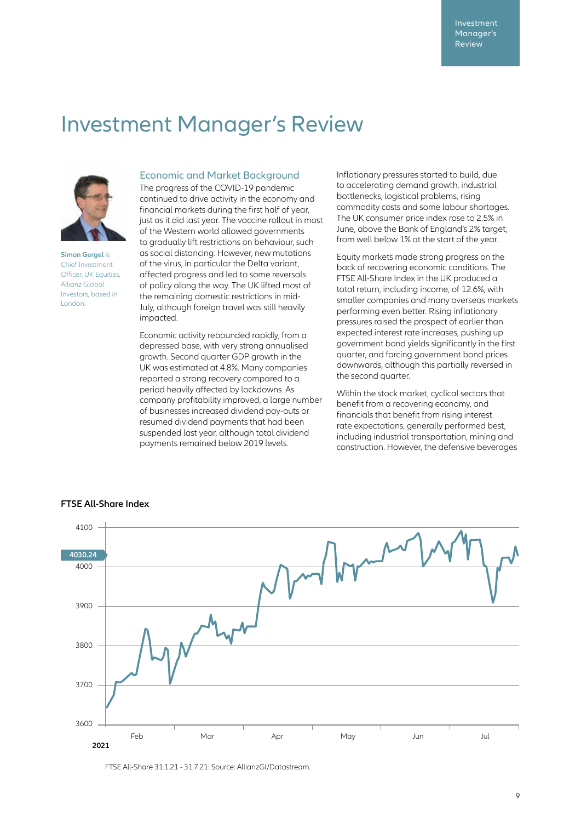### Investment Manager's Review



**Simon Gergel is** Chief Investment Officer, UK Equities Allianz Global Investors, based in London.

#### Economic and Market Background

The progress of the COVID-19 pandemic continued to drive activity in the economy and financial markets during the first half of year, just as it did last year. The vaccine rollout in most of the Western world allowed governments to gradually lift restrictions on behaviour, such as social distancing. However, new mutations of the virus, in particular the Delta variant, affected progress and led to some reversals of policy along the way. The UK lifted most of the remaining domestic restrictions in mid-July, although foreign travel was still heavily impacted.

Economic activity rebounded rapidly, from a depressed base, with very strong annualised growth. Second quarter GDP growth in the UK was estimated at 4.8%. Many companies reported a strong recovery compared to a period heavily affected by lockdowns. As company profitability improved, a large number of businesses increased dividend pay-outs or resumed dividend payments that had been suspended last year, although total dividend payments remained below 2019 levels.

Inflationary pressures started to build, due to accelerating demand growth, industrial bottlenecks, logistical problems, rising commodity costs and some labour shortages. The UK consumer price index rose to 2.5% in June, above the Bank of England's 2% target, from well below 1% at the start of the year.

Equity markets made strong progress on the back of recovering economic conditions. The FTSE All-Share Index in the UK produced a total return, including income, of 12.6%, with smaller companies and many overseas markets performing even better. Rising inflationary pressures raised the prospect of earlier than expected interest rate increases, pushing up government bond yields significantly in the first quarter, and forcing government bond prices downwards, although this partially reversed in the second quarter.

Within the stock market, cyclical sectors that benefit from a recovering economy, and financials that benefit from rising interest rate expectations, generally performed best, including industrial transportation, mining and construction. However, the defensive beverages



#### **FTSE All-Share Index**

FTSE All-Share 31.1.21 - 31.7.21. Source: AllianzGI/Datastream.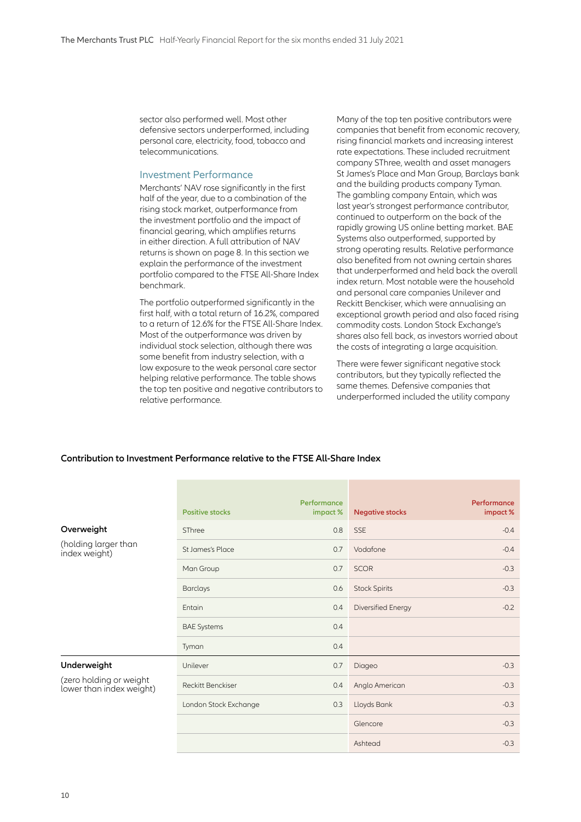sector also performed well. Most other defensive sectors underperformed, including personal care, electricity, food, tobacco and telecommunications.

#### Investment Performance

Merchants' NAV rose significantly in the first half of the year, due to a combination of the rising stock market, outperformance from the investment portfolio and the impact of financial gearing, which amplifies returns in either direction. A full attribution of NAV returns is shown on page 8. In this section we explain the performance of the investment portfolio compared to the FTSE All-Share Index benchmark.

The portfolio outperformed significantly in the first half, with a total return of 16.2%, compared to a return of 12.6% for the FTSE All-Share Index. Most of the outperformance was driven by individual stock selection, although there was some benefit from industry selection, with a low exposure to the weak personal care sector helping relative performance. The table shows the top ten positive and negative contributors to relative performance.

Many of the top ten positive contributors were companies that benefit from economic recovery, rising financial markets and increasing interest rate expectations. These included recruitment company SThree, wealth and asset managers St James's Place and Man Group, Barclays bank and the building products company Tyman. The gambling company Entain, which was last year's strongest performance contributor, continued to outperform on the back of the rapidly growing US online betting market. BAE Systems also outperformed, supported by strong operating results. Relative performance also benefited from not owning certain shares that underperformed and held back the overall index return. Most notable were the household and personal care companies Unilever and Reckitt Benckiser, which were annualising an exceptional growth period and also faced rising commodity costs. London Stock Exchange's shares also fell back, as investors worried about the costs of integrating a large acquisition.

There were fewer significant negative stock contributors, but they typically reflected the same themes. Defensive companies that underperformed included the utility company

#### **Contribution to Investment Performance relative to the FTSE All-Share Index**

|                                                     | <b>Positive stocks</b>   | Performance<br>impact% | <b>Negative stocks</b> | Performance<br>impact% |
|-----------------------------------------------------|--------------------------|------------------------|------------------------|------------------------|
| Overweight                                          | SThree                   | 0.8                    | <b>SSE</b>             | $-0.4$                 |
| (holding larger than<br>index weight)               | St James's Place         | 0.7                    | Vodafone               | $-0.4$                 |
|                                                     | Man Group                | 0.7                    | <b>SCOR</b>            | $-0.3$                 |
|                                                     | <b>Barclays</b>          | 0.6                    | <b>Stock Spirits</b>   | $-0.3$                 |
|                                                     | Entain                   | 0.4                    | Diversified Energy     | $-0.2$                 |
|                                                     | <b>BAE Systems</b>       | 0.4                    |                        |                        |
|                                                     | Tyman                    | 0.4                    |                        |                        |
| Underweight                                         | Unilever                 | 0.7                    | Diageo                 | $-0.3$                 |
| (zero holding or weight<br>lower than index weight) | <b>Reckitt Benckiser</b> | 0.4                    | Anglo American         | $-0.3$                 |
|                                                     | London Stock Exchange    | 0.3                    | Lloyds Bank            | $-0.3$                 |
|                                                     |                          |                        | Glencore               | $-0.3$                 |
|                                                     |                          |                        | Ashtead                | $-0.3$                 |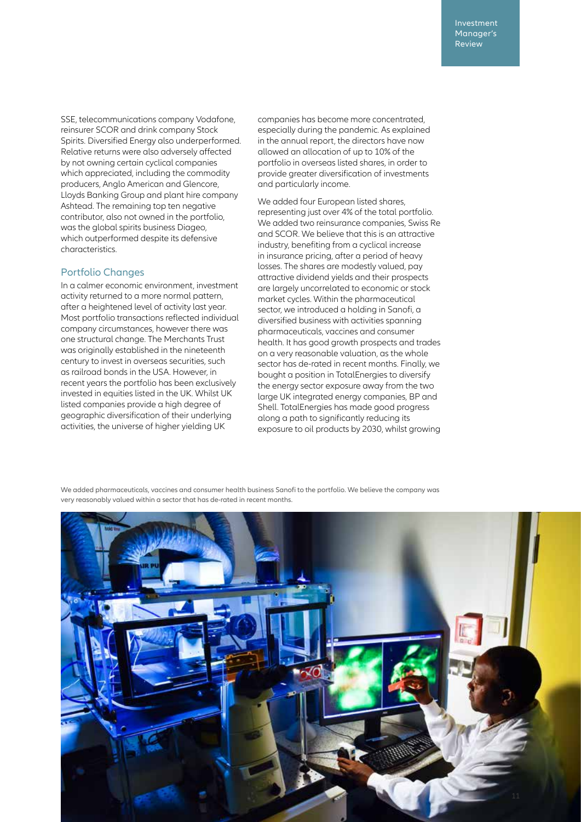SSE, telecommunications company Vodafone, reinsurer SCOR and drink company Stock Spirits. Diversified Energy also underperformed. Relative returns were also adversely affected by not owning certain cyclical companies which appreciated, including the commodity producers, Anglo American and Glencore, Lloyds Banking Group and plant hire company Ashtead. The remaining top ten negative contributor, also not owned in the portfolio, was the global spirits business Diageo, which outperformed despite its defensive characteristics.

#### Portfolio Changes

In a calmer economic environment, investment activity returned to a more normal pattern, after a heightened level of activity last year. Most portfolio transactions reflected individual company circumstances, however there was one structural change. The Merchants Trust was originally established in the nineteenth century to invest in overseas securities, such as railroad bonds in the USA. However, in recent years the portfolio has been exclusively invested in equities listed in the UK. Whilst UK listed companies provide a high degree of geographic diversification of their underlying activities, the universe of higher yielding UK

companies has become more concentrated, especially during the pandemic. As explained in the annual report, the directors have now allowed an allocation of up to 10% of the portfolio in overseas listed shares, in order to provide greater diversification of investments and particularly income.

We added four European listed shares, representing just over 4% of the total portfolio. We added two reinsurance companies, Swiss Re and SCOR. We believe that this is an attractive industry, benefiting from a cyclical increase in insurance pricing, after a period of heavy losses. The shares are modestly valued, pay attractive dividend yields and their prospects are largely uncorrelated to economic or stock market cycles. Within the pharmaceutical sector, we introduced a holding in Sanofi, a diversified business with activities spanning pharmaceuticals, vaccines and consumer health. It has good growth prospects and trades on a very reasonable valuation, as the whole sector has de-rated in recent months. Finally, we bought a position in TotalEnergies to diversify the energy sector exposure away from the two large UK integrated energy companies, BP and Shell. TotalEnergies has made good progress along a path to significantly reducing its exposure to oil products by 2030, whilst growing

We added pharmaceuticals, vaccines and consumer health business Sanofi to the portfolio. We believe the company was very reasonably valued within a sector that has de-rated in recent months.

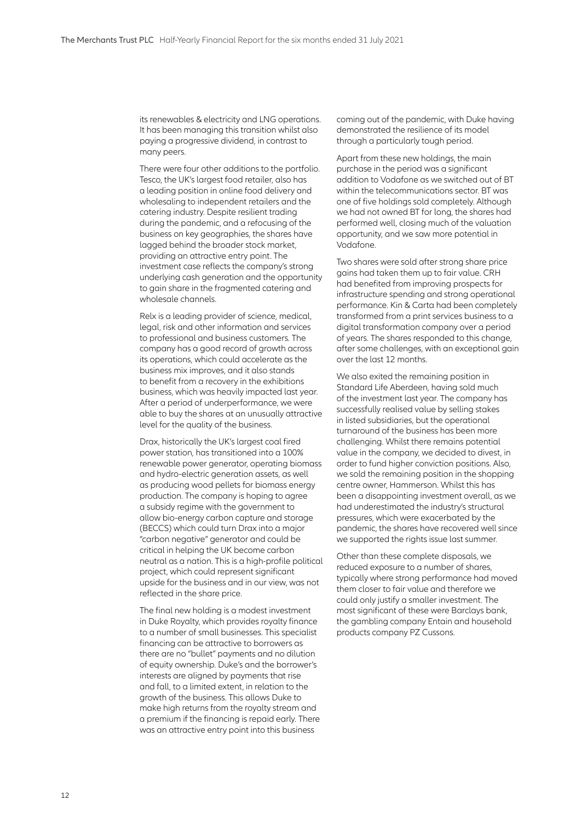its renewables & electricity and LNG operations. It has been managing this transition whilst also paying a progressive dividend, in contrast to many peers.

There were four other additions to the portfolio. Tesco, the UK's largest food retailer, also has a leading position in online food delivery and wholesaling to independent retailers and the catering industry. Despite resilient trading during the pandemic, and a refocusing of the business on key geographies, the shares have lagged behind the broader stock market, providing an attractive entry point. The investment case reflects the company's strong underlying cash generation and the opportunity to gain share in the fragmented catering and wholesale channels.

Relx is a leading provider of science, medical, legal, risk and other information and services to professional and business customers. The company has a good record of growth across its operations, which could accelerate as the business mix improves, and it also stands to benefit from a recovery in the exhibitions business, which was heavily impacted last year. After a period of underperformance, we were able to buy the shares at an unusually attractive level for the quality of the business.

Drax, historically the UK's largest coal fired power station, has transitioned into a 100% renewable power generator, operating biomass and hydro-electric generation assets, as well as producing wood pellets for biomass energy production. The company is hoping to agree a subsidy regime with the government to allow bio-energy carbon capture and storage (BECCS) which could turn Drax into a major "carbon negative" generator and could be critical in helping the UK become carbon neutral as a nation. This is a high-profile political project, which could represent significant upside for the business and in our view, was not reflected in the share price.

The final new holding is a modest investment in Duke Royalty, which provides royalty finance to a number of small businesses. This specialist financing can be attractive to borrowers as there are no "bullet" payments and no dilution of equity ownership. Duke's and the borrower's interests are aligned by payments that rise and fall, to a limited extent, in relation to the growth of the business. This allows Duke to make high returns from the royalty stream and a premium if the financing is repaid early. There was an attractive entry point into this business

coming out of the pandemic, with Duke having demonstrated the resilience of its model through a particularly tough period.

Apart from these new holdings, the main purchase in the period was a significant addition to Vodafone as we switched out of BT within the telecommunications sector. BT was one of five holdings sold completely. Although we had not owned BT for long, the shares had performed well, closing much of the valuation opportunity, and we saw more potential in Vodafone.

Two shares were sold after strong share price gains had taken them up to fair value. CRH had benefited from improving prospects for infrastructure spending and strong operational performance. Kin & Carta had been completely transformed from a print services business to a digital transformation company over a period of years. The shares responded to this change, after some challenges, with an exceptional gain over the last 12 months.

We also exited the remaining position in Standard Life Aberdeen, having sold much of the investment last year. The company has successfully realised value by selling stakes in listed subsidiaries, but the operational turnaround of the business has been more challenging. Whilst there remains potential value in the company, we decided to divest, in order to fund higher conviction positions. Also, we sold the remaining position in the shopping centre owner, Hammerson. Whilst this has been a disappointing investment overall, as we had underestimated the industry's structural pressures, which were exacerbated by the pandemic, the shares have recovered well since we supported the rights issue last summer.

Other than these complete disposals, we reduced exposure to a number of shares, typically where strong performance had moved them closer to fair value and therefore we could only justify a smaller investment. The most significant of these were Barclays bank, the gambling company Entain and household products company PZ Cussons.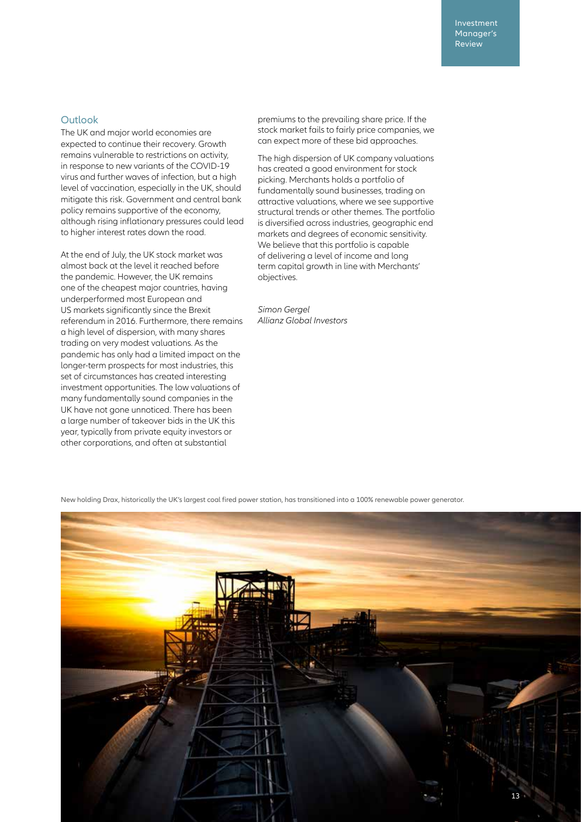Investment Manager's Review

#### **Outlook**

The UK and major world economies are expected to continue their recovery. Growth remains vulnerable to restrictions on activity, in response to new variants of the COVID-19 virus and further waves of infection, but a high level of vaccination, especially in the UK, should mitigate this risk. Government and central bank policy remains supportive of the economy, although rising inflationary pressures could lead to higher interest rates down the road.

At the end of July, the UK stock market was almost back at the level it reached before the pandemic. However, the UK remains one of the cheapest major countries, having underperformed most European and US markets significantly since the Brexit referendum in 2016. Furthermore, there remains a high level of dispersion, with many shares trading on very modest valuations. As the pandemic has only had a limited impact on the longer-term prospects for most industries, this set of circumstances has created interesting investment opportunities. The low valuations of many fundamentally sound companies in the UK have not gone unnoticed. There has been a large number of takeover bids in the UK this year, typically from private equity investors or other corporations, and often at substantial

premiums to the prevailing share price. If the stock market fails to fairly price companies, we can expect more of these bid approaches.

The high dispersion of UK company valuations has created a good environment for stock picking. Merchants holds a portfolio of fundamentally sound businesses, trading on attractive valuations, where we see supportive structural trends or other themes. The portfolio is diversified across industries, geographic end markets and degrees of economic sensitivity. We believe that this portfolio is capable of delivering a level of income and long term capital growth in line with Merchants' objectives.

*Simon Gergel Allianz Global Investors*

New holding Drax, historically the UK's largest coal fired power station, has transitioned into a 100% renewable power generator.

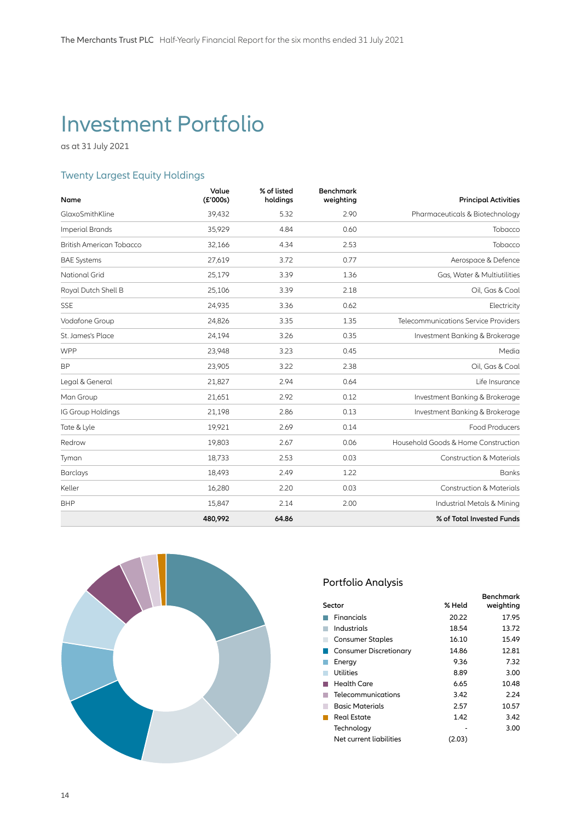### Investment Portfolio

as at 31 July 2021

### Twenty Largest Equity Holdings

| Name                            | Value<br>(£'000s) | % of listed<br>holdings | <b>Benchmark</b><br>weighting | <b>Principal Activities</b>          |
|---------------------------------|-------------------|-------------------------|-------------------------------|--------------------------------------|
| GlaxoSmithKline                 | 39,432            | 5.32                    | 2.90                          | Pharmaceuticals & Biotechnology      |
| <b>Imperial Brands</b>          | 35,929            | 4.84                    | 0.60                          | Tobacco                              |
| <b>British American Tobacco</b> | 32,166            | 4.34                    | 2.53                          | Tobacco                              |
| <b>BAE Systems</b>              | 27,619            | 3.72                    | 0.77                          | Aerospace & Defence                  |
| <b>National Grid</b>            | 25,179            | 3.39                    | 1.36                          | Gas, Water & Multiutilities          |
| Royal Dutch Shell B             | 25,106            | 3.39                    | 2.18                          | Oil, Gas & Coal                      |
| <b>SSE</b>                      | 24,935            | 3.36                    | 0.62                          | Electricity                          |
| Vodafone Group                  | 24,826            | 3.35                    | 1.35                          | Telecommunications Service Providers |
| St. James's Place               | 24,194            | 3.26                    | 0.35                          | Investment Banking & Brokerage       |
| <b>WPP</b>                      | 23,948            | 3.23                    | 0.45                          | Media                                |
| <b>BP</b>                       | 23,905            | 3.22                    | 2.38                          | Oil, Gas & Coal                      |
| Legal & General                 | 21,827            | 2.94                    | 0.64                          | Life Insurance                       |
| Man Group                       | 21,651            | 2.92                    | 0.12                          | Investment Banking & Brokerage       |
| IG Group Holdings               | 21,198            | 2.86                    | 0.13                          | Investment Banking & Brokerage       |
| Tate & Lyle                     | 19,921            | 2.69                    | 0.14                          | <b>Food Producers</b>                |
| Redrow                          | 19,803            | 2.67                    | 0.06                          | Household Goods & Home Construction  |
| Tyman                           | 18,733            | 2.53                    | 0.03                          | <b>Construction &amp; Materials</b>  |
| <b>Barclays</b>                 | 18,493            | 2.49                    | 1.22                          | <b>Banks</b>                         |
| Keller                          | 16,280            | 2.20                    | 0.03                          | <b>Construction &amp; Materials</b>  |
| <b>BHP</b>                      | 15,847            | 2.14                    | 2.00                          | Industrial Metals & Mining           |
|                                 | 480,992           | 64.86                   |                               | % of Total Invested Funds            |



### Portfolio Analysis

|                               |        | <b>Benchmark</b> |
|-------------------------------|--------|------------------|
| Sector                        | % Held | weighting        |
| Financials                    | 20.22  | 17.95            |
| Industrials                   | 18.54  | 13.72            |
| <b>Consumer Staples</b>       | 16.10  | 15.49            |
| <b>Consumer Discretionary</b> | 14.86  | 12.81            |
| Energy                        | 9.36   | 7.32             |
| Utilities                     | 8.89   | 3.00             |
| Health Care                   | 6.65   | 10.48            |
| Telecommunications            | 3.42   | 2.24             |
| Basic Materials               | 2.57   | 10.57            |
| Real Estate                   | 1.42   | 3.42             |
| Technology                    |        | 3.00             |
| Net current liabilities       | (2.03) |                  |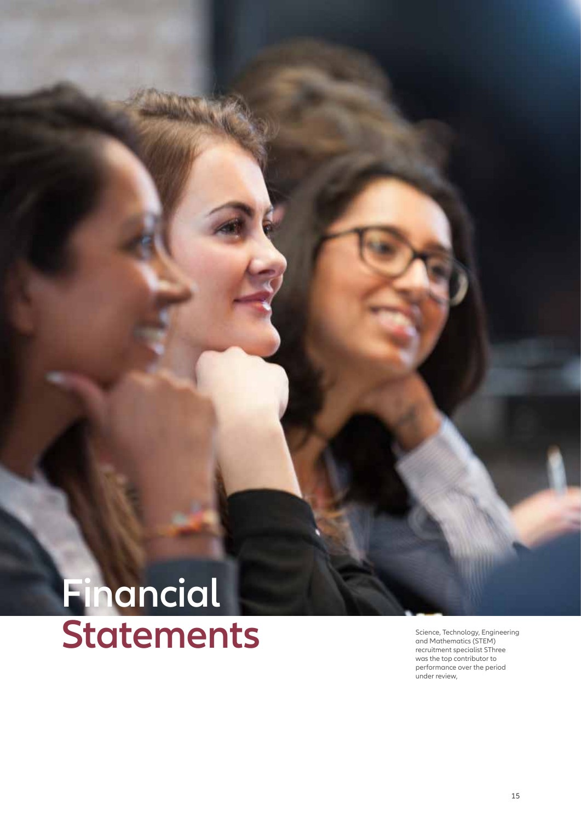# **Financial** Statements **Statement Science, Technology, Engineering**<br>
Mand Mathematics (STEM)<br>
The meruitment specialist SThree

and Mathematics (STEM) recruitment specialist SThree was the top contributor to performance over the period under review,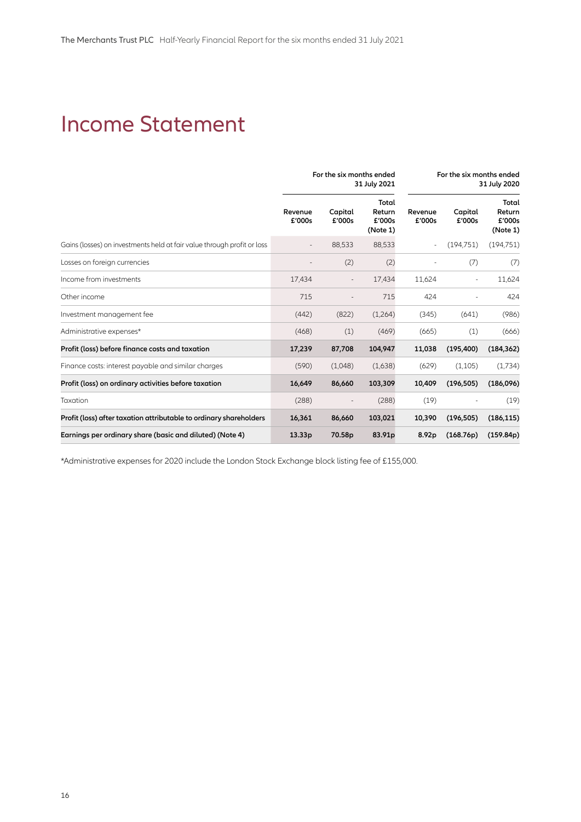### Income Statement

|                                                                         | For the six months ended<br>31 July 2021 |                   |                                       |                          | For the six months ended | 31 July 2020                          |
|-------------------------------------------------------------------------|------------------------------------------|-------------------|---------------------------------------|--------------------------|--------------------------|---------------------------------------|
|                                                                         | Revenue<br>£'000s                        | Capital<br>£'000s | Total<br>Return<br>£'000s<br>(Note 1) | Revenue<br>£'000s        | Capital<br>£'000s        | Total<br>Return<br>£'000s<br>(Note 1) |
| Gains (losses) on investments held at fair value through profit or loss |                                          | 88,533            | 88,533                                | $\overline{\phantom{a}}$ | (194, 751)               | (194, 751)                            |
| Losses on foreign currencies                                            |                                          | (2)               | (2)                                   |                          | (7)                      | (7)                                   |
| Income from investments                                                 | 17,434                                   |                   | 17,434                                | 11,624                   |                          | 11,624                                |
| Other income                                                            | 715                                      |                   | 715                                   | 424                      |                          | 424                                   |
| Investment management fee                                               | (442)                                    | (822)             | (1,264)                               | (345)                    | (641)                    | (986)                                 |
| Administrative expenses*                                                | (468)                                    | (1)               | (469)                                 | (665)                    | (1)                      | (666)                                 |
| Profit (loss) before finance costs and taxation                         | 17,239                                   | 87,708            | 104,947                               | 11,038                   | (195, 400)               | (184, 362)                            |
| Finance costs: interest payable and similar charges                     | (590)                                    | (1,048)           | (1,638)                               | (629)                    | (1,105)                  | (1,734)                               |
| Profit (loss) on ordinary activities before taxation                    | 16,649                                   | 86,660            | 103,309                               | 10,409                   | (196, 505)               | (186,096)                             |
| Taxation                                                                | (288)                                    |                   | (288)                                 | (19)                     |                          | (19)                                  |
| Profit (loss) after taxation attributable to ordinary shareholders      | 16,361                                   | 86,660            | 103,021                               | 10,390                   | (196, 505)               | (186, 115)                            |
| Earnings per ordinary share (basic and diluted) (Note 4)                | 13.33 <sub>p</sub>                       | 70.58p            | 83.91 <sub>p</sub>                    | 8.92p                    | (168.76p)                | (159.84p)                             |

\*Administrative expenses for 2020 include the London Stock Exchange block listing fee of £155,000.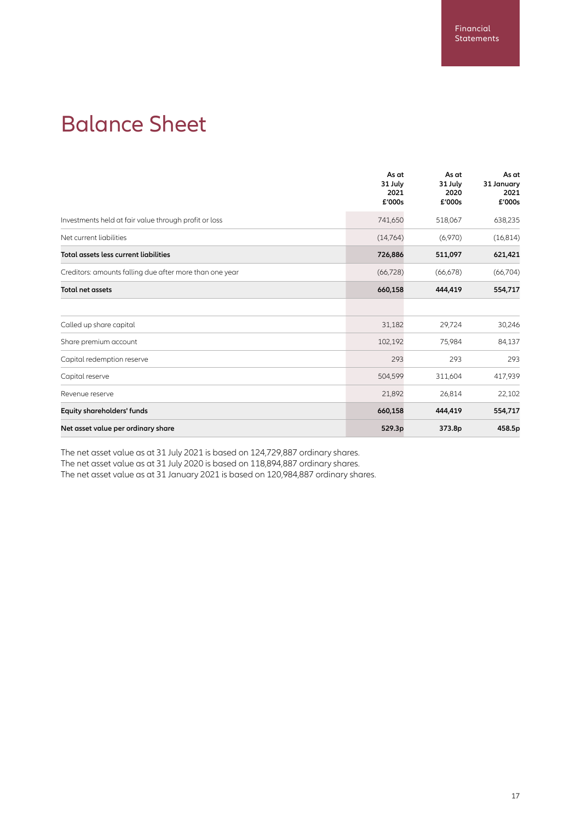### Balance Sheet

|                                                         | As at<br>31 July<br>2021<br>£'000s | As at<br>31 July<br>2020<br>£'000s | As at<br>31 January<br>2021<br>£'000s |
|---------------------------------------------------------|------------------------------------|------------------------------------|---------------------------------------|
| Investments held at fair value through profit or loss   | 741,650                            | 518,067                            | 638,235                               |
| Net current liabilities                                 | (14,764)                           | (6,970)                            | (16, 814)                             |
| Total assets less current liabilities                   | 726,886                            | 511,097                            | 621,421                               |
| Creditors: amounts falling due after more than one year | (66, 728)                          | (66, 678)                          | (66,704)                              |
| <b>Total net assets</b>                                 | 660,158                            | 444,419                            | 554,717                               |
| Called up share capital                                 | 31,182                             | 29,724                             | 30,246                                |
| Share premium account                                   | 102,192                            | 75,984                             | 84,137                                |
| Capital redemption reserve                              | 293                                | 293                                | 293                                   |
| Capital reserve                                         | 504,599                            | 311,604                            | 417,939                               |
| Revenue reserve                                         | 21,892                             | 26,814                             | 22,102                                |
| Equity shareholders' funds                              | 660,158                            | 444,419                            | 554,717                               |
| Net asset value per ordinary share                      | 529.3p                             | 373.8p                             | 458.5p                                |

The net asset value as at 31 July 2021 is based on 124,729,887 ordinary shares. The net asset value as at 31 July 2020 is based on 118,894,887 ordinary shares.

The net asset value as at 31 January 2021 is based on 120,984,887 ordinary shares.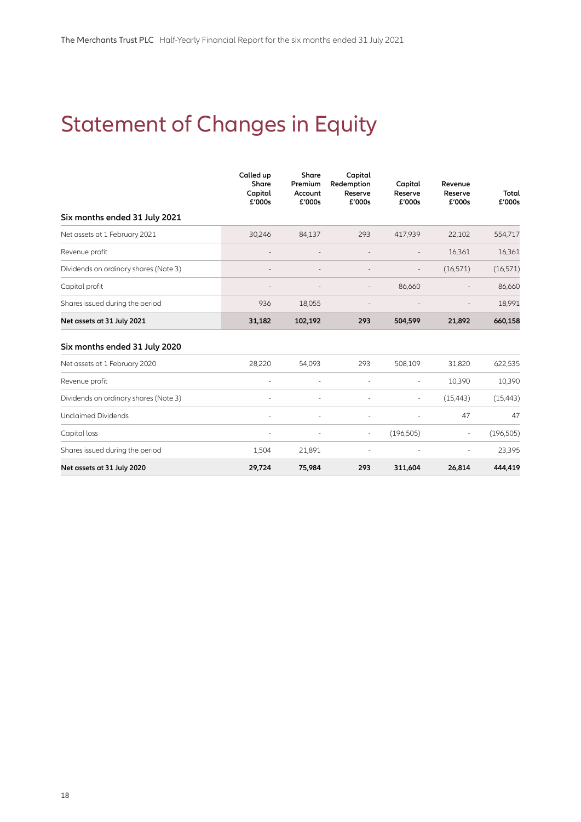## Statement of Changes in Equity

|                                       | Called up<br>Share<br>Capital<br>£'000s | Share<br>Premium<br>Account<br>£'000s | Capital<br>Redemption<br>Reserve<br>£'000s | Capital<br>Reserve<br>£'000s | Revenue<br>Reserve<br>£'000s | Total<br>£'000s |
|---------------------------------------|-----------------------------------------|---------------------------------------|--------------------------------------------|------------------------------|------------------------------|-----------------|
| Six months ended 31 July 2021         |                                         |                                       |                                            |                              |                              |                 |
| Net assets at 1 February 2021         | 30,246                                  | 84,137                                | 293                                        | 417,939                      | 22,102                       | 554,717         |
| Revenue profit                        |                                         |                                       |                                            |                              | 16,361                       | 16,361          |
| Dividends on ordinary shares (Note 3) |                                         |                                       |                                            |                              | (16, 571)                    | (16, 571)       |
| Capital profit                        |                                         |                                       |                                            | 86,660                       |                              | 86,660          |
| Shares issued during the period       | 936                                     | 18,055                                |                                            |                              |                              | 18,991          |
| Net assets at 31 July 2021            | 31,182                                  | 102,192                               | 293                                        | 504,599                      | 21,892                       | 660,158         |
| Six months ended 31 July 2020         |                                         |                                       |                                            |                              |                              |                 |
| Net assets at 1 February 2020         | 28,220                                  | 54,093                                | 293                                        | 508,109                      | 31,820                       | 622,535         |
| Revenue profit                        |                                         |                                       |                                            | $\sim$                       | 10,390                       | 10,390          |
| Dividends on ordinary shares (Note 3) |                                         |                                       |                                            |                              | (15, 443)                    | (15, 443)       |
| <b>Unclaimed Dividends</b>            |                                         |                                       |                                            |                              | 47                           | 47              |
| Capital loss                          |                                         |                                       | $\blacksquare$                             | (196, 505)                   | $\equiv$                     | (196, 505)      |
| Shares issued during the period       | 1,504                                   | 21,891                                |                                            |                              | ÷,                           | 23,395          |
| Net assets at 31 July 2020            | 29,724                                  | 75,984                                | 293                                        | 311,604                      | 26,814                       | 444,419         |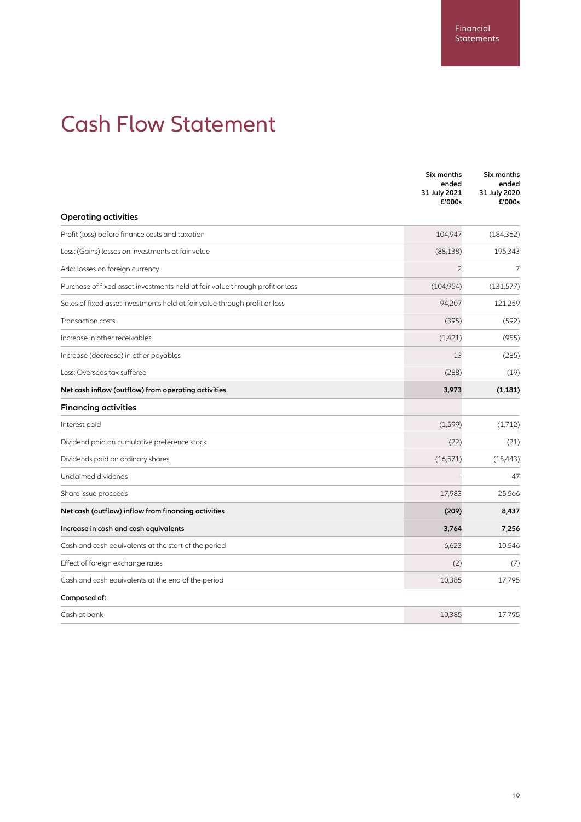## Cash Flow Statement

|                                                                               | Six months<br>ended<br>31 July 2021<br>£'000s | Six months<br>ended<br>31 July 2020<br>£'000s |
|-------------------------------------------------------------------------------|-----------------------------------------------|-----------------------------------------------|
| <b>Operating activities</b>                                                   |                                               |                                               |
| Profit (loss) before finance costs and taxation                               | 104,947                                       | (184, 362)                                    |
| Less: (Gains) losses on investments at fair value                             | (88, 138)                                     | 195,343                                       |
| Add: losses on foreign currency                                               | $\overline{c}$                                | 7                                             |
| Purchase of fixed asset investments held at fair value through profit or loss | (104,954)                                     | (131, 577)                                    |
| Sales of fixed asset investments held at fair value through profit or loss    | 94,207                                        | 121,259                                       |
| Transaction costs                                                             | (395)                                         | (592)                                         |
| Increase in other receivables                                                 | (1,421)                                       | (955)                                         |
| Increase (decrease) in other payables                                         | 13                                            | (285)                                         |
| Less: Overseas tax suffered                                                   | (288)                                         | (19)                                          |
| Net cash inflow (outflow) from operating activities                           | 3,973                                         | (1, 181)                                      |
| <b>Financing activities</b>                                                   |                                               |                                               |
| Interest paid                                                                 | (1, 599)                                      | (1,712)                                       |
| Dividend paid on cumulative preference stock                                  | (22)                                          | (21)                                          |
| Dividends paid on ordinary shares                                             | (16, 571)                                     | (15, 443)                                     |
| Unclaimed dividends                                                           |                                               | 47                                            |
| Share issue proceeds                                                          | 17,983                                        | 25,566                                        |
| Net cash (outflow) inflow from financing activities                           | (209)                                         | 8,437                                         |
| Increase in cash and cash equivalents                                         | 3,764                                         | 7,256                                         |
| Cash and cash equivalents at the start of the period                          | 6,623                                         | 10,546                                        |
| Effect of foreign exchange rates                                              | (2)                                           | (7)                                           |
| Cash and cash equivalents at the end of the period                            | 10,385                                        | 17,795                                        |
| Composed of:                                                                  |                                               |                                               |
| Cash at bank                                                                  | 10,385                                        | 17,795                                        |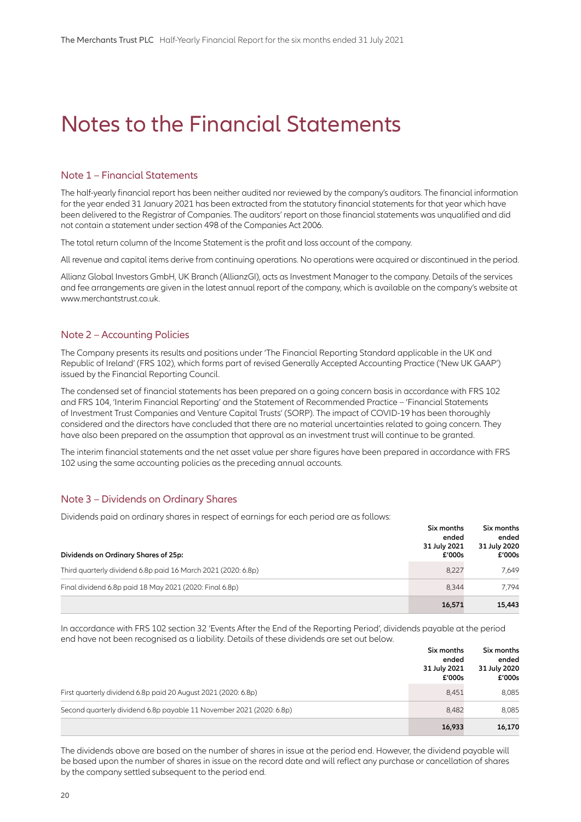### Notes to the Financial Statements

#### Note 1 – Financial Statements

The half-yearly financial report has been neither audited nor reviewed by the company's auditors. The financial information for the year ended 31 January 2021 has been extracted from the statutory financial statements for that year which have been delivered to the Registrar of Companies. The auditors' report on those financial statements was unqualified and did not contain a statement under section 498 of the Companies Act 2006.

The total return column of the Income Statement is the profit and loss account of the company.

All revenue and capital items derive from continuing operations. No operations were acquired or discontinued in the period.

Allianz Global Investors GmbH, UK Branch (AllianzGI), acts as Investment Manager to the company. Details of the services and fee arrangements are given in the latest annual report of the company, which is available on the company's website at www.merchantstrust.co.uk.

#### Note 2 – Accounting Policies

The Company presents its results and positions under 'The Financial Reporting Standard applicable in the UK and Republic of Ireland' (FRS 102), which forms part of revised Generally Accepted Accounting Practice ('New UK GAAP') issued by the Financial Reporting Council.

The condensed set of financial statements has been prepared on a going concern basis in accordance with FRS 102 and FRS 104, 'Interim Financial Reporting' and the Statement of Recommended Practice – 'Financial Statements of Investment Trust Companies and Venture Capital Trusts' (SORP). The impact of COVID-19 has been thoroughly considered and the directors have concluded that there are no material uncertainties related to going concern. They have also been prepared on the assumption that approval as an investment trust will continue to be granted.

The interim financial statements and the net asset value per share figures have been prepared in accordance with FRS 102 using the same accounting policies as the preceding annual accounts.

#### Note 3 – Dividends on Ordinary Shares

Dividends paid on ordinary shares in respect of earnings for each period are as follows:

| Dividends on Ordinary Shares of 25p:                          | Six months<br>ended<br>31 July 2021<br>£'000s | Six months<br>ended<br>31 July 2020<br>£'000s |
|---------------------------------------------------------------|-----------------------------------------------|-----------------------------------------------|
| Third quarterly dividend 6.8p paid 16 March 2021 (2020: 6.8p) | 8,227                                         | 7.649                                         |
| Final dividend 6.8p paid 18 May 2021 (2020: Final 6.8p)       | 8.344                                         | 7.794                                         |
|                                                               | 16,571                                        | 15,443                                        |

In accordance with FRS 102 section 32 'Events After the End of the Reporting Period', dividends payable at the period end have not been recognised as a liability. Details of these dividends are set out below.

|                                                                      | Six months<br>ended<br>31 July 2021<br>£'000s | Six months<br>ended<br>31 July 2020<br>£'000s |
|----------------------------------------------------------------------|-----------------------------------------------|-----------------------------------------------|
| First quarterly dividend 6.8p paid 20 August 2021 (2020: 6.8p)       | 8.451                                         | 8,085                                         |
| Second quarterly dividend 6.8p payable 11 November 2021 (2020: 6.8p) | 8.482                                         | 8,085                                         |
|                                                                      | 16,933                                        | 16,170                                        |

The dividends above are based on the number of shares in issue at the period end. However, the dividend payable will be based upon the number of shares in issue on the record date and will reflect any purchase or cancellation of shares by the company settled subsequent to the period end.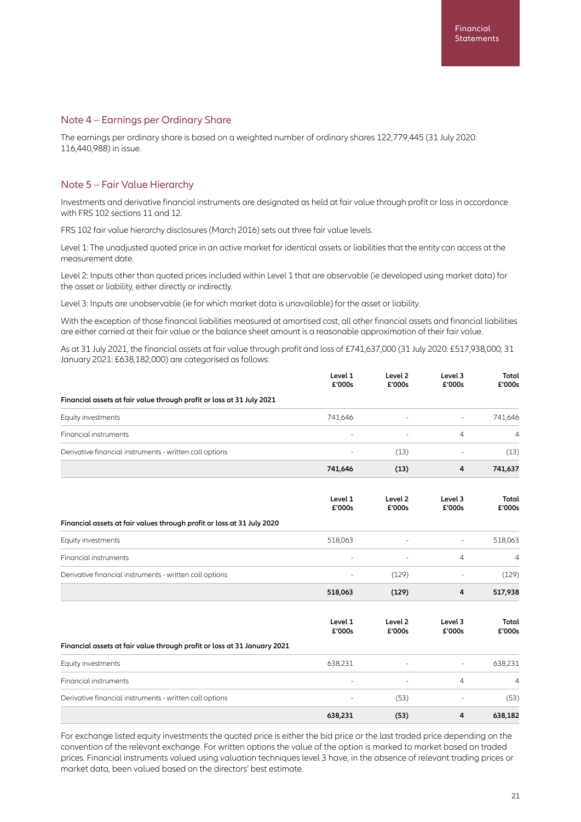#### Note 4 – Earnings per Ordinary Share

The earnings per ordinary share is based on a weighted number of ordinary shares 122,779,445 (31 July 2020: 116,440,988) in issue.

#### Note 5 – Fair Value Hierarchy

Investments and derivative financial instruments are designated as held at fair value through profit or loss in accordance with FRS 102 sections 11 and 12.

FRS 102 fair value hierarchy disclosures (March 2016) sets out three fair value levels.

Level 1: The unadjusted quoted price in an active market for identical assets or liabilities that the entity can access at the measurement date.

Level 2: Inputs other than quoted prices included within Level 1 that are observable (ie developed using market data) for the asset or liability, either directly or indirectly.

Level 3: Inputs are unobservable (ie for which market data is unavailable) for the asset or liability.

With the exception of those financial liabilities measured at amortised cost, all other financial assets and financial liabilities are either carried at their fair value or the balance sheet amount is a reasonable approximation of their fair value.

As at 31 July 2021, the financial assets at fair value through profit and loss of £741,637,000 (31 July 2020: £517,938,000; 31 January 2021: £638,182,000) are categorised as follows:

|                                                                          | Level 1<br>£'000s | Level <sub>2</sub><br>£'000s | Level 3<br>£'000s        | Total<br>£'000s |
|--------------------------------------------------------------------------|-------------------|------------------------------|--------------------------|-----------------|
| Financial assets at fair value through profit or loss at 31 July 2021    |                   |                              |                          |                 |
| Equity investments                                                       | 741,646           |                              | ÷                        | 741,646         |
| <b>Financial instruments</b>                                             |                   |                              | $\overline{4}$           | 4               |
| Derivative financial instruments - written call options                  |                   | (13)                         |                          | (13)            |
|                                                                          | 741,646           | (13)                         | 4                        | 741,637         |
|                                                                          | Level 1<br>£'000s | Level <sub>2</sub><br>£'000s | Level 3<br>£'000s        | Total<br>£'000s |
| Financial assets at fair values through profit or loss at 31 July 2020   |                   |                              |                          |                 |
| Equity investments                                                       | 518,063           |                              | ä,                       | 518,063         |
| Financial instruments                                                    |                   |                              | 4                        | 4               |
| Derivative financial instruments - written call options                  |                   | (129)                        |                          | (129)           |
|                                                                          | 518,063           | (129)                        | 4                        | 517,938         |
|                                                                          | Level 1<br>£'000s | Level 2<br>£'000s            | Level 3<br>£'000s        | Total<br>£'000s |
| Financial assets at fair value through profit or loss at 31 January 2021 |                   |                              |                          |                 |
| Equity investments                                                       | 638,231           |                              | $\overline{\phantom{a}}$ | 638,231         |
| <b>Financial instruments</b>                                             |                   |                              | $\overline{4}$           | 4               |
| Derivative financial instruments - written call options                  |                   | (53)                         |                          | (53)            |
|                                                                          | 638,231           | (53)                         | 4                        | 638,182         |

For exchange listed equity investments the quoted price is either the bid price or the last traded price depending on the convention of the relevant exchange. For written options the value of the option is marked to market based on traded prices. Financial instruments valued using valuation techniques level 3 have, in the absence of relevant trading prices or market data, been valued based on the directors' best estimate.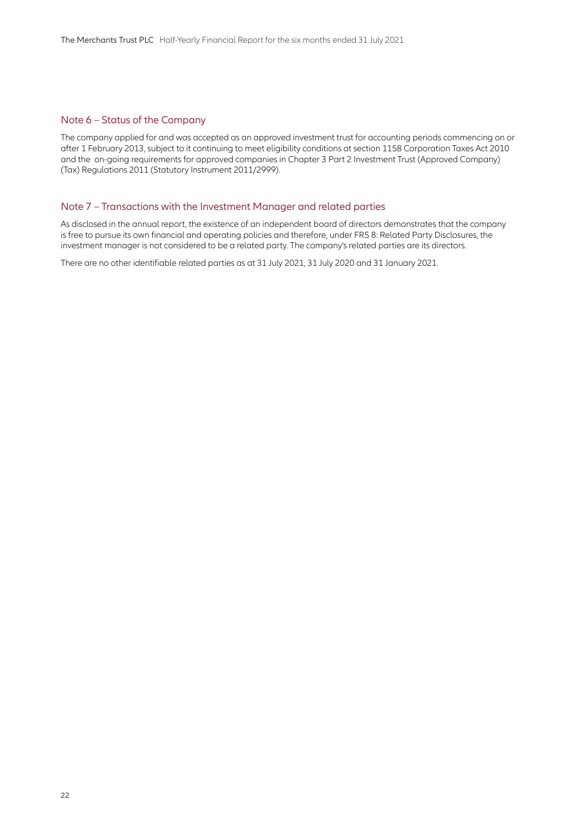#### Note 6 – Status of the Company

The company applied for and was accepted as an approved investment trust for accounting periods commencing on or after 1 February 2013, subject to it continuing to meet eligibility conditions at section 1158 Corporation Taxes Act 2010 and the on-going requirements for approved companies in Chapter 3 Part 2 Investment Trust (Approved Company) (Tax) Regulations 2011 (Statutory Instrument 2011/2999).

#### Note 7 – Transactions with the Investment Manager and related parties

As disclosed in the annual report, the existence of an independent board of directors demonstrates that the company is free to pursue its own financial and operating policies and therefore, under FRS 8: Related Party Disclosures, the investment manager is not considered to be a related party. The company's related parties are its directors.

There are no other identifiable related parties as at 31 July 2021, 31 July 2020 and 31 January 2021.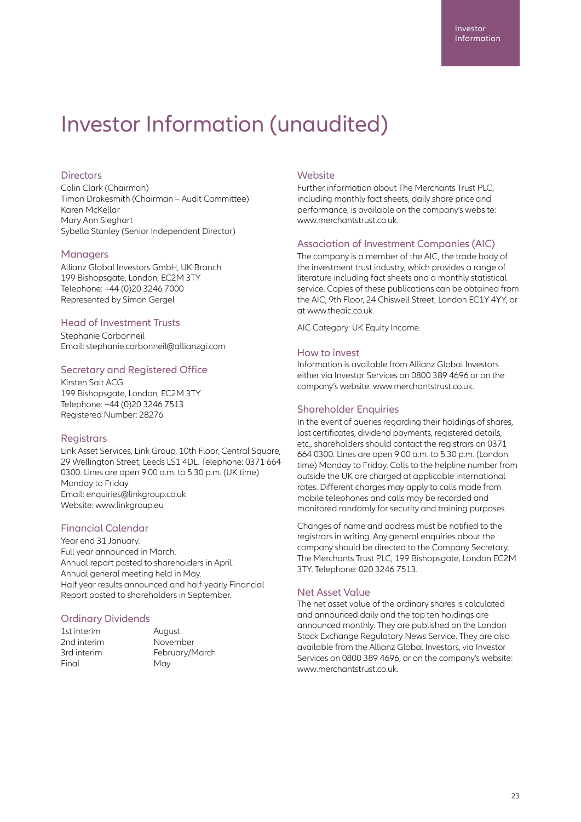### Investor Information (unaudited)

#### **Directors**

Colin Clark (Chairman) Timon Drakesmith (Chairman – Audit Committee) Karen McKellar Mary Ann Sieghart Sybella Stanley (Senior Independent Director)

#### **Managers**

Allianz Global Investors GmbH, UK Branch 199 Bishopsgate, London, EC2M 3TY Telephone: +44 (0)20 3246 7000 Represented by Simon Gergel

#### Head of Investment Trusts

Stephanie Carbonneil Email: stephanie.carbonneil@allianzgi.com

#### Secretary and Registered Office

Kirsten Salt ACG 199 Bishopsgate, London, EC2M 3TY Telephone: +44 (0)20 3246 7513 Registered Number: 28276

#### **Registrars**

Link Asset Services, Link Group, 10th Floor, Central Square, 29 Wellington Street, Leeds LS1 4DL. Telephone: 0371 664 0300. Lines are open 9.00 a.m. to 5.30 p.m. (UK time) Monday to Friday. Email: enquiries@linkgroup.co.uk Website: www.linkgroup.eu

#### Financial Calendar

Year end 31 January. Full year announced in March. Annual report posted to shareholders in April. Annual general meeting held in May. Half year results announced and half-yearly Financial Report posted to shareholders in September.

#### Ordinary Dividends

| 1st interim |
|-------------|
| 2nd interim |
| 3rd interim |
| Final       |
|             |

August November February/March May

#### **Website**

Further information about The Merchants Trust PLC, including monthly fact sheets, daily share price and performance, is available on the company's website: www.merchantstrust.co.uk

#### Association of Investment Companies (AIC)

The company is a member of the AIC, the trade body of the investment trust industry, which provides a range of literature including fact sheets and a monthly statistical service. Copies of these publications can be obtained from the AIC, 9th Floor, 24 Chiswell Street, London EC1Y 4YY, or at www.theaic.co.uk.

AIC Category: UK Equity Income.

#### How to invest

Information is available from Allianz Global Investors either via Investor Services on 0800 389 4696 or on the company's website: www.merchantstrust.co.uk.

#### Shareholder Enquiries

In the event of queries regarding their holdings of shares, lost certificates, dividend payments, registered details, etc., shareholders should contact the registrars on 0371 664 0300. Lines are open 9.00 a.m. to 5.30 p.m. (London time) Monday to Friday. Calls to the helpline number from outside the UK are charged at applicable international rates. Different charges may apply to calls made from mobile telephones and calls may be recorded and monitored randomly for security and training purposes.

Changes of name and address must be notified to the registrars in writing. Any general enquiries about the company should be directed to the Company Secretary, The Merchants Trust PLC, 199 Bishopsgate, London EC2M 3TY. Telephone: 020 3246 7513.

#### Net Asset Value

The net asset value of the ordinary shares is calculated and announced daily and the top ten holdings are announced monthly. They are published on the London Stock Exchange Regulatory News Service. They are also available from the Allianz Global Investors, via Investor Services on 0800 389 4696, or on the company's website: www.merchantstrust.co.uk.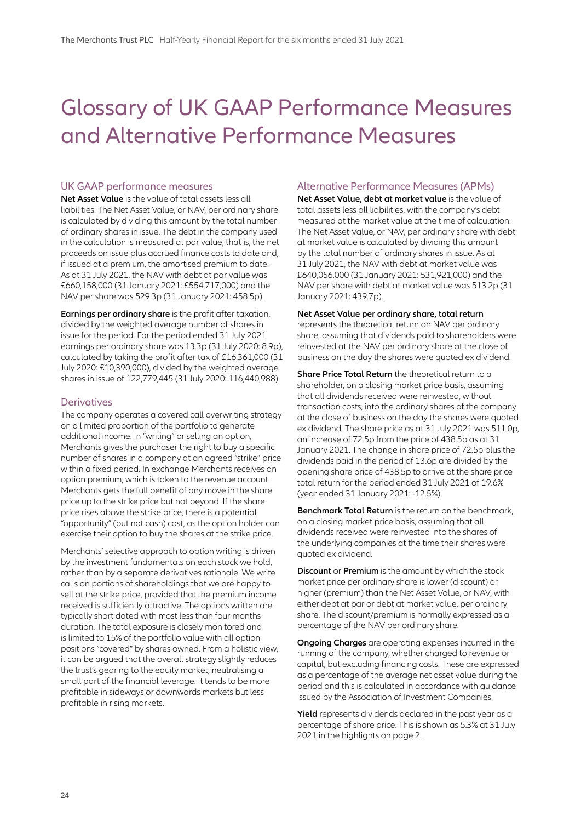### Glossary of UK GAAP Performance Measures and Alternative Performance Measures

#### UK GAAP performance measures

**Net Asset Value** is the value of total assets less all liabilities. The Net Asset Value, or NAV, per ordinary share is calculated by dividing this amount by the total number of ordinary shares in issue. The debt in the company used in the calculation is measured at par value, that is, the net proceeds on issue plus accrued finance costs to date and, if issued at a premium, the amortised premium to date. As at 31 July 2021, the NAV with debt at par value was £660,158,000 (31 January 2021: £554,717,000) and the NAV per share was 529.3p (31 January 2021: 458.5p).

**Earnings per ordinary share** is the profit after taxation, divided by the weighted average number of shares in issue for the period. For the period ended 31 July 2021 earnings per ordinary share was 13.3p (31 July 2020: 8.9p), calculated by taking the profit after tax of £16,361,000 (31 July 2020: £10,390,000), divided by the weighted average shares in issue of 122,779,445 (31 July 2020: 116,440,988).

#### **Derivatives**

The company operates a covered call overwriting strategy on a limited proportion of the portfolio to generate additional income. In "writing" or selling an option, Merchants gives the purchaser the right to buy a specific number of shares in a company at an agreed "strike" price within a fixed period. In exchange Merchants receives an option premium, which is taken to the revenue account. Merchants gets the full benefit of any move in the share price up to the strike price but not beyond. If the share price rises above the strike price, there is a potential "opportunity" (but not cash) cost, as the option holder can exercise their option to buy the shares at the strike price.

Merchants' selective approach to option writing is driven by the investment fundamentals on each stock we hold, rather than by a separate derivatives rationale. We write calls on portions of shareholdings that we are happy to sell at the strike price, provided that the premium income received is sufficiently attractive. The options written are typically short dated with most less than four months duration. The total exposure is closely monitored and is limited to 15% of the portfolio value with all option positions "covered" by shares owned. From a holistic view, it can be argued that the overall strategy slightly reduces the trust's gearing to the equity market, neutralising a small part of the financial leverage. It tends to be more profitable in sideways or downwards markets but less profitable in rising markets.

#### Alternative Performance Measures (APMs)

**Net Asset Value, debt at market value** is the value of total assets less all liabilities, with the company's debt measured at the market value at the time of calculation. The Net Asset Value, or NAV, per ordinary share with debt at market value is calculated by dividing this amount by the total number of ordinary shares in issue. As at 31 July 2021, the NAV with debt at market value was £640,056,000 (31 January 2021: 531,921,000) and the NAV per share with debt at market value was 513.2p (31 January 2021: 439.7p).

#### **Net Asset Value per ordinary share, total return** represents the theoretical return on NAV per ordinary share, assuming that dividends paid to shareholders were reinvested at the NAV per ordinary share at the close of business on the day the shares were quoted ex dividend.

**Share Price Total Return** the theoretical return to a shareholder, on a closing market price basis, assuming that all dividends received were reinvested, without transaction costs, into the ordinary shares of the company at the close of business on the day the shares were quoted ex dividend. The share price as at 31 July 2021 was 511.0p, an increase of 72.5p from the price of 438.5p as at 31 January 2021. The change in share price of 72.5p plus the dividends paid in the period of 13.6p are divided by the opening share price of 438.5p to arrive at the share price total return for the period ended 31 July 2021 of 19.6% (year ended 31 January 2021: -12.5%).

**Benchmark Total Return** is the return on the benchmark, on a closing market price basis, assuming that all dividends received were reinvested into the shares of the underlying companies at the time their shares were quoted ex dividend.

**Discount** or **Premium** is the amount by which the stock market price per ordinary share is lower (discount) or higher (premium) than the Net Asset Value, or NAV, with either debt at par or debt at market value, per ordinary share. The discount/premium is normally expressed as a percentage of the NAV per ordinary share.

**Ongoing Charges** are operating expenses incurred in the running of the company, whether charged to revenue or capital, but excluding financing costs. These are expressed as a percentage of the average net asset value during the period and this is calculated in accordance with guidance issued by the Association of Investment Companies.

**Yield** represents dividends declared in the past year as a percentage of share price. This is shown as 5.3% at 31 July 2021 in the highlights on page 2.